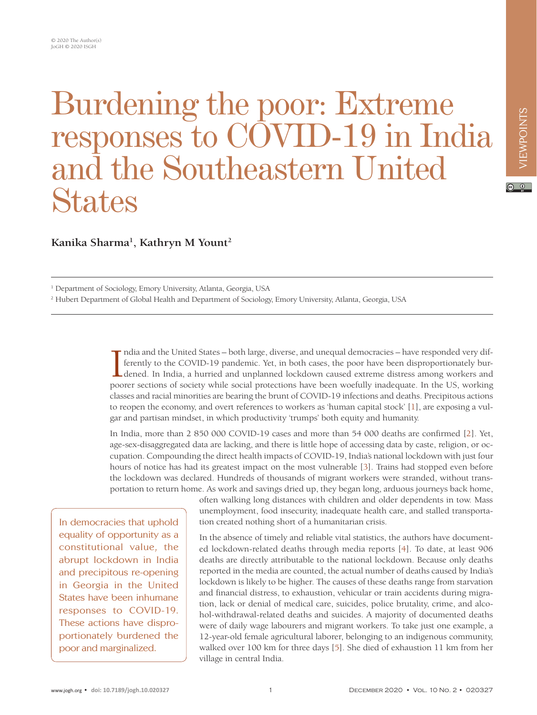## Burdening the poor: Extreme responses to COVID-19 in India and the Southeastern United **States**

**Kanika Sharma1 , Kathryn M Yount2**

<sup>1</sup> Department of Sociology, Emory University, Atlanta, Georgia, USA

2 Hubert Department of Global Health and Department of Sociology, Emory University, Atlanta, Georgia, USA

India and the United States – both large, diverse, and unequal democracies – have responded very differently to the COVID-19 pandemic. Yet, in both cases, the poor have been disproportionately burdened. In India, a hurried ndia and the United States – both large, diverse, and unequal democracies – have responded very differently to the COVID-19 pandemic. Yet, in both cases, the poor have been disproportionately burdened. In India, a hurried and unplanned lockdown caused extreme distress among workers and classes and racial minorities are bearing the brunt of COVID-19 infections and deaths. Precipitous actions to reopen the economy, and overt references to workers as 'human capital stock' [[1\]](#page-2-0), are exposing a vulgar and partisan mindset, in which productivity 'trumps' both equity and humanity.

In India, more than 2 850 000 COVID-19 cases and more than 54 000 deaths are confirmed [[2\]](#page-2-1). Yet, age-sex-disaggregated data are lacking, and there is little hope of accessing data by caste, religion, or occupation. Compounding the direct health impacts of COVID-19, India's national lockdown with just four hours of notice has had its greatest impact on the most vulnerable [[3](#page-2-2)]. Trains had stopped even before the lockdown was declared. Hundreds of thousands of migrant workers were stranded, without transportation to return home. As work and savings dried up, they began long, arduous journeys back home,

In democracies that uphold equality of opportunity as a constitutional value, the abrupt lockdown in India and precipitous re-opening in Georgia in the United States have been inhumane responses to COVID-19. These actions have disproportionately burdened the poor and marginalized.

often walking long distances with children and older dependents in tow. Mass unemployment, food insecurity, inadequate health care, and stalled transportation created nothing short of a humanitarian crisis.

In the absence of timely and reliable vital statistics, the authors have documented lockdown-related deaths through media reports [\[4\]](#page-2-3). To date, at least 906 deaths are directly attributable to the national lockdown. Because only deaths reported in the media are counted, the actual number of deaths caused by India's lockdown is likely to be higher. The causes of these deaths range from starvation and financial distress, to exhaustion, vehicular or train accidents during migration, lack or denial of medical care, suicides, police brutality, crime, and alcohol-withdrawal-related deaths and suicides. A majority of documented deaths were of daily wage labourers and migrant workers. To take just one example, a 12-year-old female agricultural laborer, belonging to an indigenous community, walked over 100 km for three days [\[5](#page-2-4)]. She died of exhaustion 11 km from her village in central India.

 $\circ$   $\circ$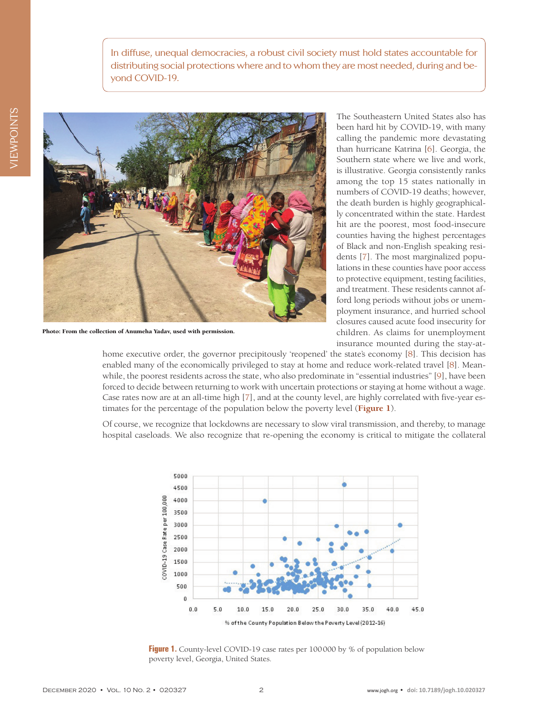In diffuse, unequal democracies, a robust civil society must hold states accountable for distributing social protections where and to whom they are most needed, during and beyond COVID-19.



Photo: From the collection of Anumeha Yadav, used with permission.

The Southeastern United States also has been hard hit by COVID-19, with many calling the pandemic more devastating than hurricane Katrina [\[6](#page-2-5)]. Georgia, the Southern state where we live and work, is illustrative. Georgia consistently ranks among the top 15 states nationally in numbers of COVID-19 deaths; however, the death burden is highly geographically concentrated within the state. Hardest hit are the poorest, most food-insecure counties having the highest percentages of Black and non-English speaking residents [[7](#page-2-6)]. The most marginalized populations in these counties have poor access to protective equipment, testing facilities, and treatment. These residents cannot afford long periods without jobs or unemployment insurance, and hurried school closures caused acute food insecurity for children. As claims for unemployment insurance mounted during the stay-at-

home executive order, the governor precipitously 'reopened' the state's economy [[8\]](#page-2-7). This decision has enabled many of the economically privileged to stay at home and reduce work-related travel [[8\]](#page-2-7). Meanwhile, the poorest residents across the state, who also predominate in "essential industries" [[9\]](#page-2-8), have been forced to decide between returning to work with uncertain protections or staying at home without a wage. Case rates now are at an all-time high [[7](#page-2-6)], and at the county level, are highly correlated with five-year estimates for the percentage of the population below the poverty level (**[Figure 1](#page-1-0)**).

<span id="page-1-0"></span>Of course, we recognize that lockdowns are necessary to slow viral transmission, and thereby, to manage hospital caseloads. We also recognize that re-opening the economy is critical to mitigate the collateral



Figure 1. County-level COVID-19 case rates per 100000 by % of population below poverty level, Georgia, United States.